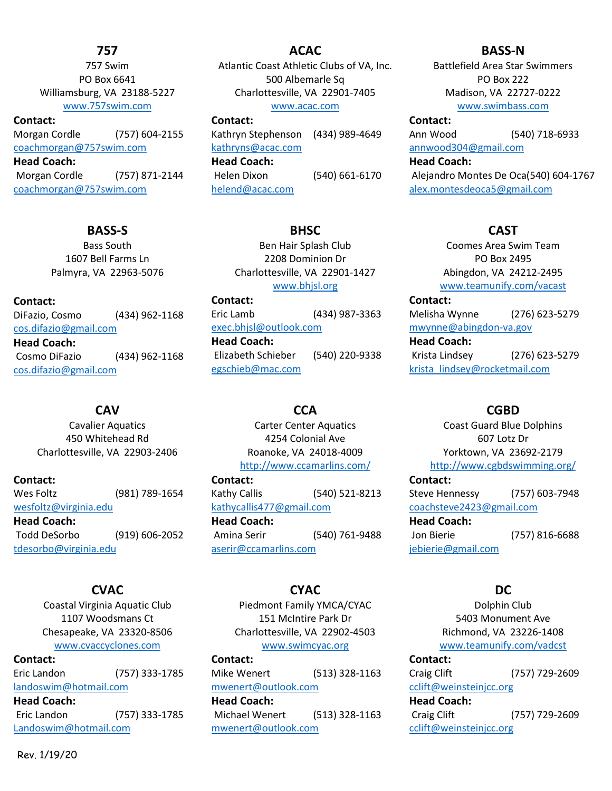## **757**

757 Swim PO Box 6641 Williamsburg, VA 23188-5227 <www.757swim.com>

**Contact:** Morgan Cordle (757) 604-2155 coachmorgan@757swim.com **Head Coach:** Morgan Cordle (757) 871-2144

coachmorgan@757swim.com

**BASS-S** 

Bass South 1607 Bell Farms Ln Palmyra, VA 22963-5076

#### **Contact:**

DiFazio, Cosmo (434) 962-1168 cos.difazio@gmail.com

**Head Coach:**

Cosmo DiFazio (434) 962-1168 cos.difazio@gmail.com

## **CAV**

Cavalier Aquatics 450 Whitehead Rd Charlottesville, VA 22903-2406

**Contact:** Wes Foltz (981) 789-1654 wesfoltz@virginia.edu

**Head Coach:** Todd DeSorbo (919) 606-2052 tdesorbo@virginia.edu

## **CVAC**

Coastal Virginia Aquatic Club 1107 Woodsmans Ct Chesapeake, VA 23320-8506 <www.cvaccyclones.com>

**Contact:** Eric Landon (757) 333-1785 landoswim@hotmail.com

**Head Coach:**

Eric Landon (757) 333-1785 Landoswim@hotmail.com

**ACAC**

Atlantic Coast Athletic Clubs of VA, Inc. 500 Albemarle Sq Charlottesville, VA 22901-7405 <www.acac.com>

## **Contact:**

Kathryn Stephenson (434) 989-4649 kathryns@acac.com **Head Coach:** Helen Dixon (540) 661-6170 helend@acac.com

## **BHSC**

Ben Hair Splash Club 2208 Dominion Dr Charlottesville, VA 22901-1427 <www.bhjsl.org>

**Contact:** Eric Lamb (434) 987-3363 exec.bhjsl@outlook.com **Head Coach:** Elizabeth Schieber (540) 220-9338

egschieb@mac.com

## **CCA**

Carter Center Aquatics 4254 Colonial Ave Roanoke, VA 24018-4009 <http://www.ccamarlins.com/>

**Contact:** Kathy Callis (540) 521-8213 kathycallis477@gmail.com **Head Coach:** Amina Serir (540) 761-9488 aserir@ccamarlins.com

## **CYAC**

Piedmont Family YMCA/CYAC 151 McIntire Park Dr Charlottesville, VA 22902-4503 <www.swimcyac.org>

**Contact:** Mike Wenert (513) 328-1163 mwenert@outlook.com **Head Coach:**

Michael Wenert (513) 328-1163 mwenert@outlook.com

### **BASS-N**

Battlefield Area Star Swimmers PO Box 222 Madison, VA 22727-0222 <www.swimbass.com>

#### **Contact:**

Ann Wood (540) 718-6933 annwood304@gmail.com

#### **Head Coach:**

Alejandro Montes De Oca(540) 604-1767 alex.montesdeoca5@gmail.com

### **CAST**

Coomes Area Swim Team PO Box 2495 Abingdon, VA 24212-2495 [www.teamunify.com/vacast](http://www.teamunify.com/vacast)

#### **Contact:**

Melisha Wynne (276) 623-5279 mwynne@abingdon-va.gov

#### **Head Coach:**

Krista Lindsey (276) 623-5279 krista\_lindsey@rocketmail.com

### **CGBD**

Coast Guard Blue Dolphins 607 Lotz Dr Yorktown, VA 23692-2179 <http://www.cgbdswimming.org/>

**Contact:**

Steve Hennessy (757) 603-7948 coachsteve2423@gmail.com

**Head Coach:** jebierie@gmail.com

Jon Bierie (757) 816-6688

### **DC**

Dolphin Club 5403 Monument Ave Richmond, VA 23226-1408 <www.teamunify.com/vadcst>

### **Contact:**

Craig Clift (757) 729-2609 cclift@weinsteinjcc.org

#### **Head Coach:**

Craig Clift (757) 729-2609 cclift@weinsteinjcc.org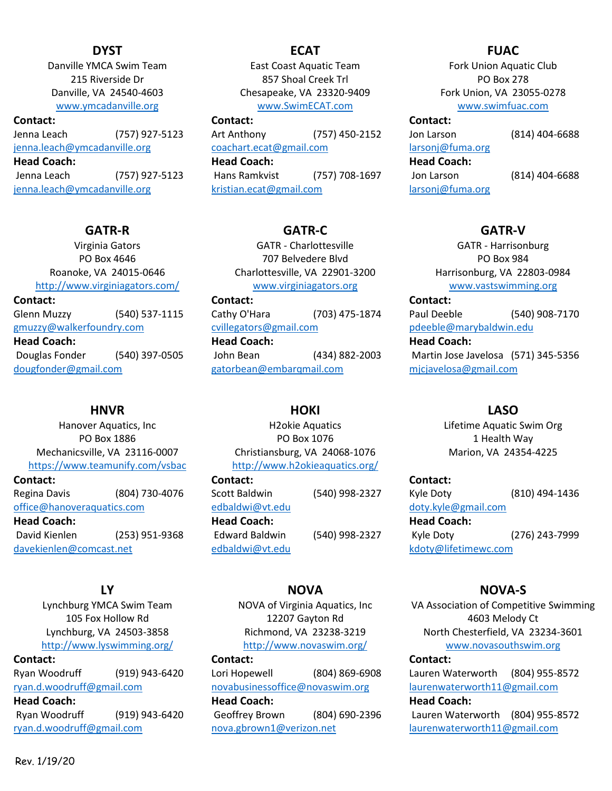## **DYST**

Danville YMCA Swim Team 215 Riverside Dr Danville, VA 24540-4603 <www.ymcadanville.org>

#### **Contact:**

Jenna Leach (757) 927-5123 jenna.leach@ymcadanville.org **Head Coach:** Jenna Leach (757) 927-5123 jenna.leach@ymcadanville.org

## **GATR-R**

Virginia Gators PO Box 4646 Roanoke, VA 24015-0646 <http://www.virginiagators.com/>

### **Contact:** Glenn Muzzy (540) 537-1115 gmuzzy@walkerfoundry.com **Head Coach:** Douglas Fonder (540) 397-0505 dougfonder@gmail.com

## **HNVR**

Hanover Aquatics, Inc PO Box 1886 Mechanicsville, VA 23116-0007 <https://www.teamunify.com/vsbac>

**Contact:** Regina Davis (804) 730-4076 office@hanoveraquatics.com **Head Coach:** David Kienlen (253) 951-9368 davekienlen@comcast.net

## **LY**

Lynchburg YMCA Swim Team 105 Fox Hollow Rd Lynchburg, VA 24503-3858 <http://www.lyswimming.org/>

**Contact:** Ryan Woodruff (919) 943-6420 ryan.d.woodruff@gmail.com

### **Head Coach:**

Ryan Woodruff (919) 943-6420 ryan.d.woodruff@gmail.com

## **ECAT**

East Coast Aquatic Team 857 Shoal Creek Trl Chesapeake, VA 23320-9409 <www.SwimECAT.com>

### **Contact:**

Art Anthony (757) 450-2152 coachart.ecat@gmail.com **Head Coach:** Hans Ramkvist (757) 708-1697 kristian.ecat@gmail.com

## **GATR-C**

GATR - Charlottesville 707 Belvedere Blvd Charlottesville, VA 22901-3200 <www.virginiagators.org>

**Contact:** Cathy O'Hara (703) 475-1874 cvillegators@gmail.com **Head Coach:**

John Bean (434) 882-2003 gatorbean@embarqmail.com

## **HOKI**

H2okie Aquatics PO Box 1076 Christiansburg, VA 24068-1076 <http://www.h2okieaquatics.org/>

**Contact:** Scott Baldwin (540) 998-2327 edbaldwi@vt.edu **Head Coach:** Edward Baldwin (540) 998-2327

**NOVA**

NOVA of Virginia Aquatics, Inc 12207 Gayton Rd Richmond, VA 23238-3219 <http://www.novaswim.org/>

**Contact:** Lori Hopewell (804) 869-6908 novabusinessoffice@novaswim.org **Head Coach:** Geoffrey Brown (804) 690-2396 nova.gbrown1@verizon.net

### **FUAC**

Fork Union Aquatic Club PO Box 278 Fork Union, VA 23055-0278 <www.swimfuac.com>

#### **Contact:**

Jon Larson (814) 404-6688 larsonj@fuma.org

**Head Coach:** Jon Larson (814) 404-6688 larsonj@fuma.org

### **GATR-V**

GATR - Harrisonburg PO Box 984 Harrisonburg, VA 22803-0984 <www.vastswimming.org>

#### **Contact:**

Paul Deeble (540) 908-7170 pdeeble@marybaldwin.edu

#### **Head Coach:**

Martin Jose Javelosa (571) 345-5356 [mjcjavelosa@gmail.com](mailto:mjcjavelosa@gmail.com)

## **LASO**

Lifetime Aquatic Swim Org 1 Health Way Marion, VA 24354-4225

### **Contact:**

Kyle Doty (810) 494-1436 doty.kyle@gmail.com

**Head Coach:** Kyle Doty (276) 243-7999 kdoty@lifetimewc.com

### **NOVA-S**

VA Association of Competitive Swimming 4603 Melody Ct North Chesterfield, VA 23234-3601 <www.novasouthswim.org>

#### **Contact:**

Lauren Waterworth (804) 955-8572 laurenwaterworth11@gmail.com

## **Head Coach:**

Lauren Waterworth (804) 955-8572 laurenwaterworth11@gmail.com

edbaldwi@vt.edu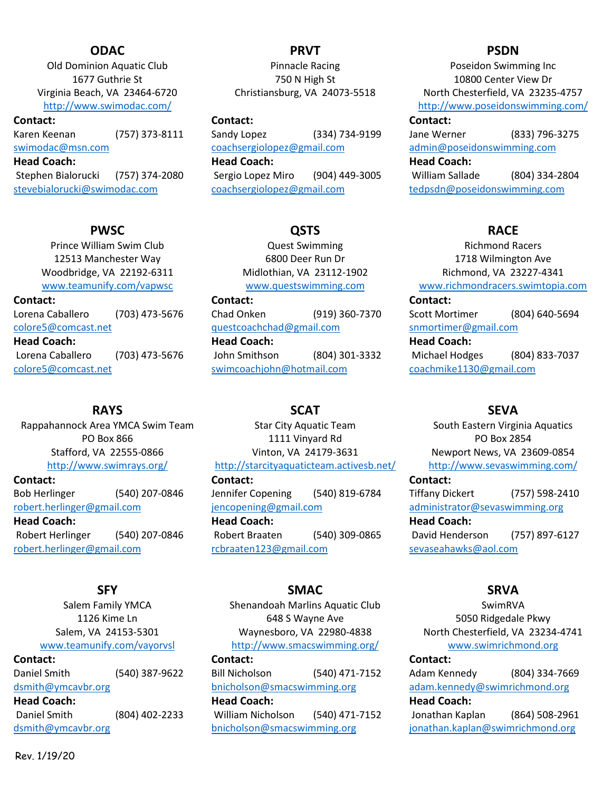### **ODAC**

Old Dominion Aquatic Club 1677 Guthrie St Virginia Beach, VA 23464-6720 <http://www.swimodac.com/>

**Contact:** 

Karen Keenan (757) 373-8111 swimodac@msn.com

### **Head Coach:**

Stephen Bialorucki (757) 374-2080 stevebialorucki@swimodac.com

# **PWSC**

Prince William Swim Club 12513 Manchester Way Woodbridge, VA 22192-6311 <www.teamunify.com/vapwsc>

#### **Contact:**

Lorena Caballero (703) 473-5676 colore5@comcast.net

### **Head Coach:**

Lorena Caballero (703) 473-5676 colore5@comcast.net

## **RAYS**

Rappahannock Area YMCA Swim Team PO Box 866 Stafford, VA 22555-0866 <http://www.swimrays.org/>

#### **Contact:**

Bob Herlinger (540) 207-0846 robert.herlinger@gmail.com

# **Head Coach:**

Robert Herlinger (540) 207-0846 robert.herlinger@gmail.com

## **SFY**

Salem Family YMCA 1126 Kime Ln Salem, VA 24153-5301 <www.teamunify.com/vayorvsl>

**Contact:** Daniel Smith (540) 387-9622 dsmith@ymcavbr.org

### **Head Coach:**

Daniel Smith (804) 402-2233 dsmith@ymcavbr.org

## **PRVT**

Pinnacle Racing 750 N High St Christiansburg, VA 24073-5518

### **Contact:**

Sandy Lopez (334) 734-9199 coachsergiolopez@gmail.com

**Head Coach:**

Sergio Lopez Miro (904) 449-3005 coachsergiolopez@gmail.com

## **QSTS**

Quest Swimming 6800 Deer Run Dr Midlothian, VA 23112-1902 <www.questswimming.com>

**Contact:** Chad Onken (919) 360-7370 questcoachchad@gmail.com **Head Coach:**

John Smithson (804) 301-3332 swimcoachjohn@hotmail.com

### **SCAT**

Star City Aquatic Team 1111 Vinyard Rd Vinton, VA 24179-3631 <http://starcityaquaticteam.activesb.net/>

**Contact:** Jennifer Copening (540) 819-6784 jencopening@gmail.com **Head Coach:**

Robert Braaten (540) 309-0865 rcbraaten123@gmail.com

## **SMAC**

Shenandoah Marlins Aquatic Club 648 S Wayne Ave Waynesboro, VA 22980-4838 <http://www.smacswimming.org/>

**Contact:** Bill Nicholson (540) 471-7152 bnicholson@smacswimming.org **Head Coach:** William Nicholson (540) 471-7152

bnicholson@smacswimming.org

### **PSDN**

Poseidon Swimming Inc 10800 Center View Dr North Chesterfield, VA 23235-4757 <http://www.poseidonswimming.com/>

#### **Contact:**

Jane Werner (833) 796-3275 admin@poseidonswimming.com

#### **Head Coach:**

William Sallade (804) 334-2804 tedpsdn@poseidonswimming.com

### **RACE**

Richmond Racers 1718 Wilmington Ave Richmond, VA 23227-4341

<www.richmondracers.swimtopia.com>

#### **Contact:**

Scott Mortimer (804) 640-5694 snmortimer@gmail.com

#### **Head Coach:**

Michael Hodges (804) 833-7037 coachmike1130@gmail.com

### **SEVA**

South Eastern Virginia Aquatics PO Box 2854 Newport News, VA 23609-0854 <http://www.sevaswimming.com/>

**Contact:**

Tiffany Dickert (757) 598-2410 administrator@sevaswimming.org

### **Head Coach:** David Henderson (757) 897-6127

sevaseahawks@aol.com

### **SRVA**

SwimRVA 5050 Ridgedale Pkwy North Chesterfield, VA 23234-4741 <www.swimrichmond.org>

### **Contact:**

Adam Kennedy (804) 334-7669 adam.kennedy@swimrichmond.org

## **Head Coach:**

Jonathan Kaplan (864) 508-2961 jonathan.kaplan@swimrichmond.org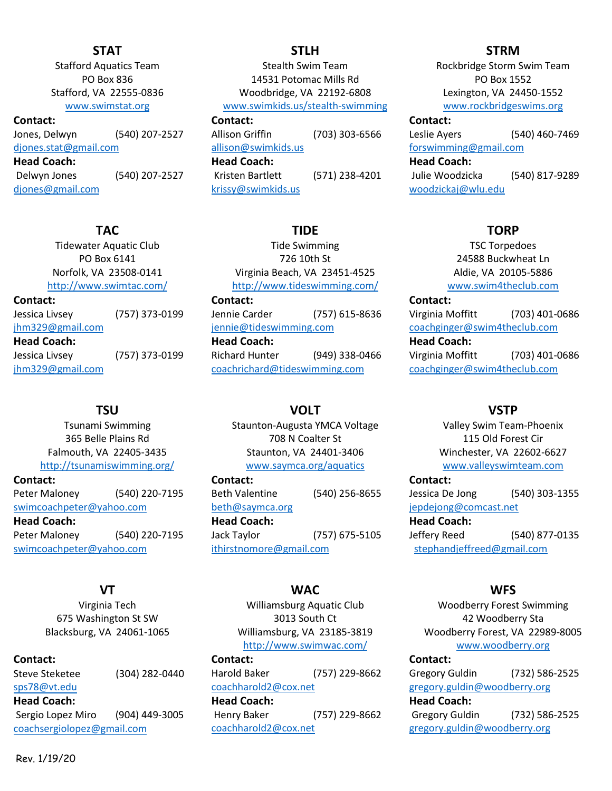## **STAT**

Stafford Aquatics Team PO Box 836 Stafford, VA 22555-0836 <www.swimstat.org>

#### **Contact:**

Jones, Delwyn (540) 207-2527 djones.stat@gmail.com **Head Coach:** Delwyn Jones (540) 207-2527 djones@gmail.com

### **TAC**

Tidewater Aquatic Club PO Box 6141 Norfolk, VA 23508-0141 <http://www.swimtac.com/>

#### **Contact:**

Jessica Livsey (757) 373-0199

## jhm329@gmail.com

**Head Coach:** Jessica Livsey (757) 373-0199

jhm329@gmail.com

## **TSU**

Tsunami Swimming 365 Belle Plains Rd Falmouth, VA 22405-3435 <http://tsunamiswimming.org/>

**Contact:** Peter Maloney (540) 220-7195 swimcoachpeter@yahoo.com **Head Coach:** Peter Maloney (540) 220-7195 swimcoachpeter@yahoo.com

## **VT**

Virginia Tech 675 Washington St SW Blacksburg, VA 24061-1065

#### **Contact:**

Steve Steketee (304) 282-0440 sps78@vt.edu

#### **Head Coach:**

Sergio Lopez Miro (904) 449-3005 coachsergiolopez@gmail.com

### **STLH**

Stealth Swim Team 14531 Potomac Mills Rd Woodbridge, VA 22192-6808 <www.swimkids.us/stealth-swimming>

#### **Contact:**

allison@swimkids.us

Allison Griffin (703) 303-6566

**Head Coach:** Kristen Bartlett (571) 238-4201

krissy@swimkids.us

## **TIDE**

Tide Swimming 726 10th St Virginia Beach, VA 23451-4525 <http://www.tideswimming.com/>

Jennie Carder (757) 615-8636 jennie@tideswimming.com **Head Coach:** Richard Hunter (949) 338-0466

### **VOLT**

Staunton-Augusta YMCA Voltage 708 N Coalter St Staunton, VA 24401-3406 <www.saymca.org/aquatics>

**Contact:** Beth Valentine (540) 256-8655 beth@saymca.org **Head Coach:** Jack Taylor (757) 675-5105 ithirstnomore@gmail.com

### **WAC**

Williamsburg Aquatic Club 3013 South Ct Williamsburg, VA 23185-3819 <http://www.swimwac.com/>

**Contact:** Harold Baker (757) 229-8662 coachharold2@cox.net **Head Coach:** Henry Baker (757) 229-8662

coachharold2@cox.net

### **STRM**

Rockbridge Storm Swim Team PO Box 1552 Lexington, VA 24450-1552 <www.rockbridgeswims.org>

#### **Contact:**

Leslie Ayers (540) 460-7469 forswimming@gmail.com

#### **Head Coach:**

Julie Woodzicka (540) 817-9289 woodzickaj@wlu.edu

### **TORP**

TSC Torpedoes 24588 Buckwheat Ln Aldie, VA 20105-5886 <www.swim4theclub.com>

#### **Contact:**

Virginia Moffitt (703) 401-0686 coachginger@swim4theclub.com

#### **Head Coach:**

Virginia Moffitt (703) 401-0686 coachginger@swim4theclub.com

### **VSTP**

Valley Swim Team-Phoenix 115 Old Forest Cir Winchester, VA 22602-6627 <www.valleyswimteam.com>

#### **Contact:**

Jessica De Jong (540) 303-1355 jepdejong@comcast.net

# **Head Coach:** Jeffery Reed (540) 877-0135

[stephandjeffreed@gmail.com](mailto:stephandjeffreed@gmail.com)

#### **WFS**

Woodberry Forest Swimming 42 Woodberry Sta Woodberry Forest, VA 22989-8005 <www.woodberry.org>

#### **Contact:**

Gregory Guldin (732) 586-2525 gregory.guldin@woodberry.org

### **Head Coach:**

Gregory Guldin (732) 586-2525 gregory.guldin@woodberry.org

**Contact:**

coachrichard@tideswimming.com